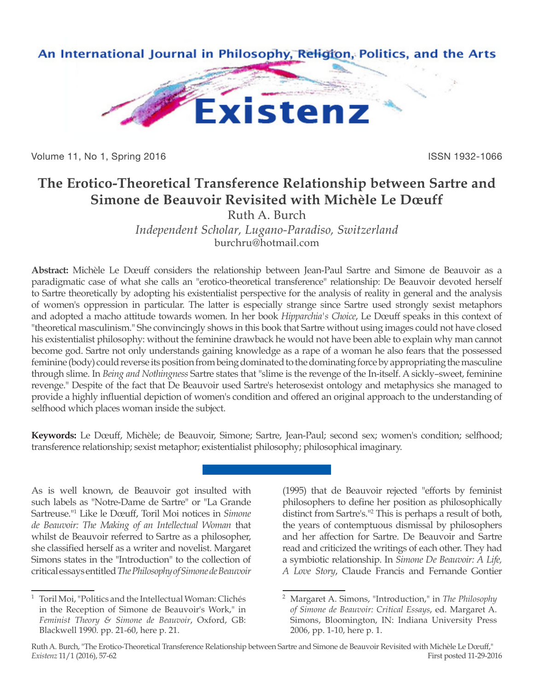

Volume 11, No 1, Spring 2016 **ISSN 1932-1066** ISSN 1932-1066

## **The Erotico-Theoretical Transference Relationship between Sartre and Simone de Beauvoir Revisited with Michèle Le Dœuff**

Ruth A. Burch *Independent Scholar, Lugano-Paradiso, Switzerland* burchru@hotmail.com

**Abstract:** Michèle Le Dœuff considers the relationship between Jean-Paul Sartre and Simone de Beauvoir as a paradigmatic case of what she calls an "erotico-theoretical transference" relationship: De Beauvoir devoted herself to Sartre theoretically by adopting his existentialist perspective for the analysis of reality in general and the analysis of women's oppression in particular. The latter is especially strange since Sartre used strongly sexist metaphors and adopted a macho attitude towards women. In her book *Hipparchia's Choice*, Le Dœuff speaks in this context of "theoretical masculinism." She convincingly shows in this book that Sartre without using images could not have closed his existentialist philosophy: without the feminine drawback he would not have been able to explain why man cannot become god. Sartre not only understands gaining knowledge as a rape of a woman he also fears that the possessed feminine (body) could reverse its position from being dominated to the dominating force by appropriating the masculine through slime. In *Being and Nothingness* Sartre states that "slime is the revenge of the In-itself. A sickly–sweet, feminine revenge." Despite of the fact that De Beauvoir used Sartre's heterosexist ontology and metaphysics she managed to provide a highly influential depiction of women's condition and offered an original approach to the understanding of selfhood which places woman inside the subject.

**Keywords:** Le Dœuff, Michèle; de Beauvoir, Simone; Sartre, Jean-Paul; second sex; women's condition; selfhood; transference relationship; sexist metaphor; existentialist philosophy; philosophical imaginary.

As is well known, de Beauvoir got insulted with such labels as "Notre-Dame de Sartre" or "La Grande Sartreuse."1 Like le Dœuff, Toril Moi notices in *Simone de Beauvoir: The Making of an Intellectual Woman* that whilst de Beauvoir referred to Sartre as a philosopher, she classified herself as a writer and novelist. Margaret Simons states in the "Introduction" to the collection of critical essays entitled *The Philosophy of Simone de Beauvoir*

(1995) that de Beauvoir rejected "efforts by feminist philosophers to define her position as philosophically distinct from Sartre's."2 This is perhaps a result of both, the years of contemptuous dismissal by philosophers and her affection for Sartre. De Beauvoir and Sartre read and criticized the writings of each other. They had a symbiotic relationship. In *Simone De Beauvoir: A Life, A Love Story*, Claude Francis and Fernande Gontier

<sup>1</sup> Toril Moi, "Politics and the Intellectual Woman: Clichés in the Reception of Simone de Beauvoir's Work," in *Feminist Theory & Simone de Beauvoir*, Oxford, GB: Blackwell 1990. pp. 21-60, here p. 21.

<sup>2</sup> Margaret A. Simons, "Introduction," in *The Philosophy of Simone de Beauvoir: Critical Essays*, ed. Margaret A. Simons, Bloomington, IN: Indiana University Press 2006, pp. 1-10, here p. 1.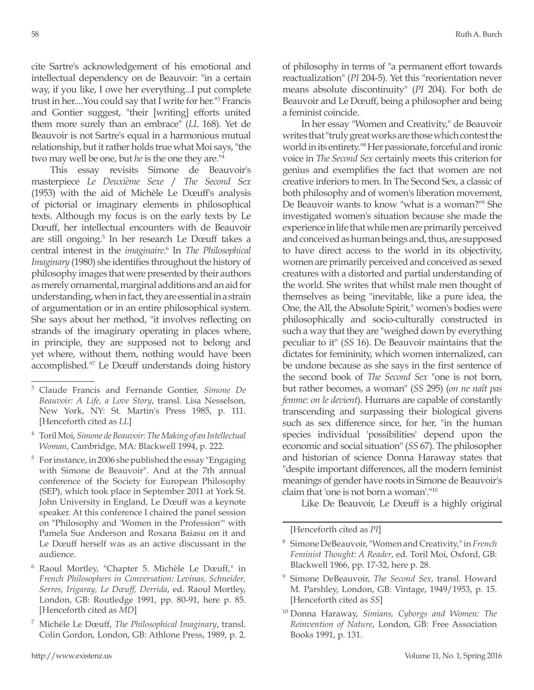cite Sartre's acknowledgement of his emotional and intellectual dependency on de Beauvoir: "in a certain way, if you like, I owe her everything...I put complete trust in her....You could say that I write for her."3 Francis and Gontier suggest, "their [writing] efforts united them more surely than an embrace" (*LL* 168). Yet de Beauvoir is not Sartre's equal in a harmonious mutual relationship, but it rather holds true what Moi says, "the two may well be one, but *he* is the one they are."4

This essay revisits Simone de Beauvoir's masterpiece *Le Deuxième Sexe* / *The Second Sex* (1953) with the aid of Michèle Le Dœuff's analysis of pictorial or imaginary elements in philosophical texts. Although my focus is on the early texts by Le Dœuff, her intellectual encounters with de Beauvoir are still ongoing.5 In her research Le Dœuff takes a central interest in the *imaginaire*. 6 In *The Philosophical Imaginary* (1980) she identifies throughout the history of philosophy images that were presented by their authors as merely ornamental, marginal additions and an aid for understanding, when in fact, they are essential in a strain of argumentation or in an entire philosophical system. She says about her method, "it involves reflecting on strands of the imaginary operating in places where, in principle, they are supposed not to belong and yet where, without them, nothing would have been accomplished."7 Le Dœuff understands doing history of philosophy in terms of "a permanent effort towards reactualization" (*PI* 204-5). Yet this "reorientation never means absolute discontinuity" (*PI* 204). For both de Beauvoir and Le Dœuff, being a philosopher and being a feminist coincide.

In her essay "Women and Creativity," de Beauvoir writes that "truly great works are those which contest the world in its entirety."8 Her passionate, forceful and ironic voice in *The Second Sex* certainly meets this criterion for genius and exemplifies the fact that women are not creative inferiors to men. In The Second Sex, a classic of both philosophy and of women's liberation movement, De Beauvoir wants to know "what is a woman?"9 She investigated women's situation because she made the experience in life that while men are primarily perceived and conceived as human beings and, thus, are supposed to have direct access to the world in its objectivity, women are primarily perceived and conceived as sexed creatures with a distorted and partial understanding of the world. She writes that whilst male men thought of themselves as being "inevitable, like a pure idea, the One, the All, the Absolute Spirit," women's bodies were philosophically and socio-culturally constructed in such a way that they are "weighed down by everything peculiar to it" (*SS* 16). De Beauvoir maintains that the dictates for femininity, which women internalized, can be undone because as she says in the first sentence of the second book of *The Second Sex* "one is not born, but rather becomes, a woman" (*SS* 295) (*on ne naît pas femme: on le devient*). Humans are capable of constantly transcending and surpassing their biological givens such as sex difference since, for her, "in the human species individual 'possibilities' depend upon the economic and social situation" (*SS* 67). The philosopher and historian of science Donna Haraway states that "despite important differences, all the modern feminist meanings of gender have roots in Simone de Beauvoir's claim that 'one is not born a woman'."10

Like De Beauvoir, Le Dœuff is a highly original

<sup>3</sup> Claude Francis and Fernande Gontier, *Simone De Beauvoir: A Life, a Love Story*, transl. Lisa Nesselson, New York, NY: St. Martin's Press 1985, p. 111. [Henceforth cited as *LL*]

<sup>4</sup> Toril Moi, *Simone de Beauvoir: The Making of an Intellectual Woman*, Cambridge, MA: Blackwell 1994, p. 222.

<sup>5</sup> For instance, in 2006 she published the essay "Engaging with Simone de Beauvoir". And at the 7th annual conference of the Society for European Philosophy (SEP), which took place in September 2011 at York St. John University in England, Le Dœuff was a keynote speaker. At this conference I chaired the panel session on "Philosophy and 'Women in the Profession'" with Pamela Sue Anderson and Roxana Baiasu on it and Le Dœuff herself was as an active discussant in the audience.

<sup>6</sup> Raoul Mortley, "Chapter 5. Michèle Le Dœuff," in *French Philosophers in Conversation: Levinas, Schneider, Serres, Irigaray, Le Dœuff, Derrida*, ed. Raoul Mortley, London, GB: Routledge 1991, pp. 80-91, here p. 85. [Henceforth cited as *MD*]

<sup>7</sup> Michèle Le Dœuff, *The Philosophical Imaginary*, transl. Colin Gordon, London, GB: Athlone Press, 1989, p. 2.

<sup>[</sup>Henceforth cited as *PI*]

<sup>8</sup> Simone DeBeauvoir, "Women and Creativity," in *French Feminist Thought: A Reader*, ed. Toril Moi, Oxford, GB: Blackwell 1966, pp. 17-32, here p. 28.

<sup>9</sup> Simone DeBeauvoir, *The Second Sex*, transl. Howard M. Parshley, London, GB: Vintage, 1949/1953, p. 15. [Henceforth cited as *SS*]

<sup>10</sup> Donna Haraway, *Simians, Cyborgs and Women: The Reinvention of Nature*, London, GB: Free Association Books 1991, p. 131.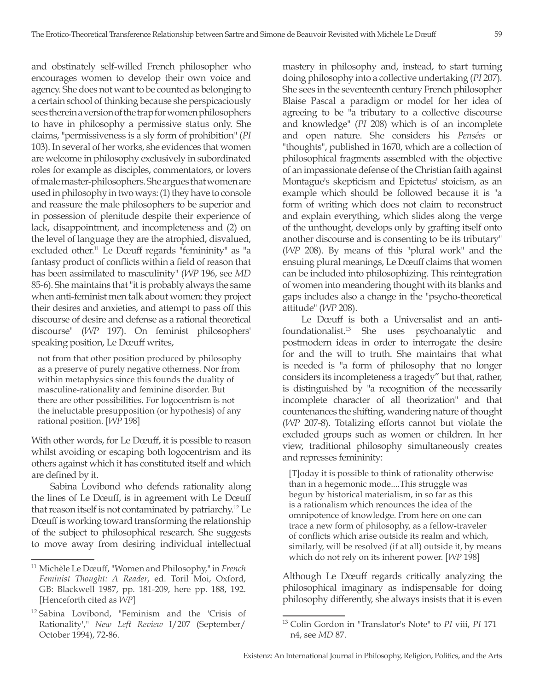and obstinately self-willed French philosopher who encourages women to develop their own voice and agency. She does not want to be counted as belonging to a certain school of thinking because she perspicaciously sees therein a version of the trap for women philosophers to have in philosophy a permissive status only. She claims, "permissiveness is a sly form of prohibition" (*PI*  103). In several of her works, she evidences that women are welcome in philosophy exclusively in subordinated roles for example as disciples, commentators, or lovers of male master-philosophers. She argues that women are used in philosophy in two ways: (1) they have to console and reassure the male philosophers to be superior and in possession of plenitude despite their experience of lack, disappointment, and incompleteness and (2) on the level of language they are the atrophied, disvalued, excluded other.<sup>11</sup> Le Dœuff regards "femininity" as "a fantasy product of conflicts within a field of reason that has been assimilated to masculinity" (*WP* 196, see *MD* 85-6). She maintains that "it is probably always the same when anti-feminist men talk about women: they project their desires and anxieties, and attempt to pass off this discourse of desire and defense as a rational theoretical discourse" (*WP* 197). On feminist philosophers' speaking position, Le Dœuff writes,

not from that other position produced by philosophy as a preserve of purely negative otherness. Nor from within metaphysics since this founds the duality of masculine-rationality and feminine disorder. But there are other possibilities. For logocentrism is not the ineluctable presupposition (or hypothesis) of any rational position. [*WP* 198]

With other words, for Le Dœuff, it is possible to reason whilst avoiding or escaping both logocentrism and its others against which it has constituted itself and which are defined by it.

Sabina Lovibond who defends rationality along the lines of Le Dœuff, is in agreement with Le Dœuff that reason itself is not contaminated by patriarchy.12 Le Dœuff is working toward transforming the relationship of the subject to philosophical research. She suggests to move away from desiring individual intellectual mastery in philosophy and, instead, to start turning doing philosophy into a collective undertaking (*PI* 207). She sees in the seventeenth century French philosopher Blaise Pascal a paradigm or model for her idea of agreeing to be "a tributary to a collective discourse and knowledge" (*PI* 208) which is of an incomplete and open nature. She considers his *Pensées* or "thoughts", published in 1670, which are a collection of philosophical fragments assembled with the objective of an impassionate defense of the Christian faith against Montague's skepticism and Epictetus' stoicism, as an example which should be followed because it is "a form of writing which does not claim to reconstruct and explain everything, which slides along the verge of the unthought, develops only by grafting itself onto another discourse and is consenting to be its tributary" (*WP* 208). By means of this "plural work" and the ensuing plural meanings, Le Dœuff claims that women can be included into philosophizing. This reintegration of women into meandering thought with its blanks and gaps includes also a change in the "psycho-theoretical attitude" (*WP* 208).

Le Dœuff is both a Universalist and an antifoundationalist.13 She uses psychoanalytic and postmodern ideas in order to interrogate the desire for and the will to truth. She maintains that what is needed is "a form of philosophy that no longer considers its incompleteness a tragedy" but that, rather, is distinguished by "a recognition of the necessarily incomplete character of all theorization" and that countenances the shifting, wandering nature of thought (*WP* 207-8). Totalizing efforts cannot but violate the excluded groups such as women or children. In her view, traditional philosophy simultaneously creates and represses femininity:

[T]oday it is possible to think of rationality otherwise than in a hegemonic mode....This struggle was begun by historical materialism, in so far as this is a rationalism which renounces the idea of the omnipotence of knowledge. From here on one can trace a new form of philosophy, as a fellow-traveler of conflicts which arise outside its realm and which, similarly, will be resolved (if at all) outside it, by means which do not rely on its inherent power. [*WP* 198]

Although Le Dœuff regards critically analyzing the philosophical imaginary as indispensable for doing philosophy differently, she always insists that it is even

<sup>11</sup> Michèle Le Dœuff, "Women and Philosophy," in *French Feminist Thought: A Reader*, ed. Toril Moi, Oxford, GB: Blackwell 1987, pp. 181-209, here pp. 188, 192. [Henceforth cited as *WP*]

<sup>12</sup> Sabina Lovibond, "Feminism and the 'Crisis of Rationality'," *New Left Review* I/207 (September/ October 1994), 72-86.

<sup>13</sup> Colin Gordon in "Translator's Note" to *PI* viii, *PI* 171 n4, see *MD* 87.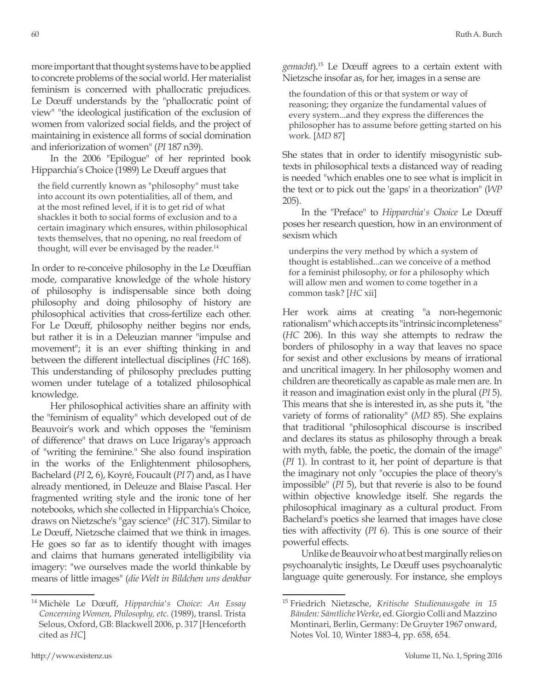more important that thought systems have to be applied to concrete problems of the social world. Her materialist feminism is concerned with phallocratic prejudices. Le Dœuff understands by the "phallocratic point of view" "the ideological justification of the exclusion of women from valorized social fields, and the project of maintaining in existence all forms of social domination and inferiorization of women" (*PI* 187 n39).

In the 2006 "Epilogue" of her reprinted book Hipparchia's Choice (1989) Le Dœuff argues that

the field currently known as "philosophy" must take into account its own potentialities, all of them, and at the most refined level, if it is to get rid of what shackles it both to social forms of exclusion and to a certain imaginary which ensures, within philosophical texts themselves, that no opening, no real freedom of thought, will ever be envisaged by the reader.<sup>14</sup>

In order to re-conceive philosophy in the Le Dœuffian mode, comparative knowledge of the whole history of philosophy is indispensable since both doing philosophy and doing philosophy of history are philosophical activities that cross-fertilize each other. For Le Dœuff, philosophy neither begins nor ends, but rather it is in a Deleuzian manner "impulse and movement"; it is an ever shifting thinking in and between the different intellectual disciplines (*HC* 168). This understanding of philosophy precludes putting women under tutelage of a totalized philosophical knowledge.

Her philosophical activities share an affinity with the "feminism of equality" which developed out of de Beauvoir's work and which opposes the "feminism of difference" that draws on Luce Irigaray's approach of "writing the feminine." She also found inspiration in the works of the Enlightenment philosophers, Bachelard (*PI* 2, 6), Koyré, Foucault (*PI* 7) and, as I have already mentioned, in Deleuze and Blaise Pascal. Her fragmented writing style and the ironic tone of her notebooks, which she collected in Hipparchia's Choice, draws on Nietzsche's "gay science" (*HC* 317). Similar to Le Dœuff, Nietzsche claimed that we think in images. He goes so far as to identify thought with images and claims that humans generated intelligibility via imagery: "we ourselves made the world thinkable by means of little images" (*die Welt in Bildchen uns denkbar*  *gemacht*).15 Le Dœuff agrees to a certain extent with Nietzsche insofar as, for her, images in a sense are

the foundation of this or that system or way of reasoning; they organize the fundamental values of every system...and they express the differences the philosopher has to assume before getting started on his work. [*MD* 87]

She states that in order to identify misogynistic subtexts in philosophical texts a distanced way of reading is needed "which enables one to see what is implicit in the text or to pick out the 'gaps' in a theorization" (*WP* 205).

In the "Preface" to *Hipparchia's Choice* Le Dœuff poses her research question, how in an environment of sexism which

underpins the very method by which a system of thought is established...can we conceive of a method for a feminist philosophy, or for a philosophy which will allow men and women to come together in a common task? [*HC* xii]

Her work aims at creating "a non-hegemonic rationalism" which accepts its "intrinsic incompleteness" (*HC* 206). In this way she attempts to redraw the borders of philosophy in a way that leaves no space for sexist and other exclusions by means of irrational and uncritical imagery. In her philosophy women and children are theoretically as capable as male men are. In it reason and imagination exist only in the plural (*PI* 5). This means that she is interested in, as she puts it, "the variety of forms of rationality" (*MD* 85). She explains that traditional "philosophical discourse is inscribed and declares its status as philosophy through a break with myth, fable, the poetic, the domain of the image" (*PI* 1). In contrast to it, her point of departure is that the imaginary not only "occupies the place of theory's impossible" (*PI* 5), but that reverie is also to be found within objective knowledge itself. She regards the philosophical imaginary as a cultural product. From Bachelard's poetics she learned that images have close ties with affectivity (*PI* 6). This is one source of their powerful effects.

Unlike de Beauvoir who at best marginally relies on psychoanalytic insights, Le Dœuff uses psychoanalytic language quite generously. For instance, she employs

<sup>14</sup> Michèle Le Dœuff, *Hipparchia's Choice: An Essay Concerning Women, Philosophy, etc.* (1989), transl. Trista Selous, Oxford, GB: Blackwell 2006, p. 317 [Henceforth cited as *HC*]

<sup>15</sup> Friedrich Nietzsche, *Kritische Studienausgabe in 15 Bänden: Sämtliche Werke*, ed. Giorgio Colli and Mazzino Montinari, Berlin, Germany: De Gruyter 1967 onward, Notes Vol. 10, Winter 1883-4, pp. 658, 654.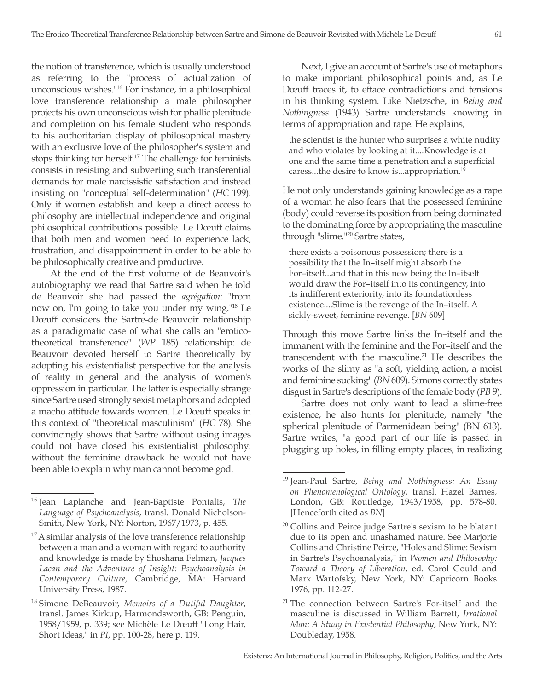the notion of transference, which is usually understood as referring to the "process of actualization of unconscious wishes."16 For instance, in a philosophical love transference relationship a male philosopher projects his own unconscious wish for phallic plenitude and completion on his female student who responds to his authoritarian display of philosophical mastery with an exclusive love of the philosopher's system and stops thinking for herself.17 The challenge for feminists consists in resisting and subverting such transferential demands for male narcissistic satisfaction and instead insisting on "conceptual self-determination" (*HC* 199). Only if women establish and keep a direct access to philosophy are intellectual independence and original philosophical contributions possible. Le Dœuff claims that both men and women need to experience lack, frustration, and disappointment in order to be able to be philosophically creative and productive.

At the end of the first volume of de Beauvoir's autobiography we read that Sartre said when he told de Beauvoir she had passed the *agrégation*: "from now on, I'm going to take you under my wing."18 Le Dœuff considers the Sartre-de Beauvoir relationship as a paradigmatic case of what she calls an "eroticotheoretical transference" (*WP* 185) relationship: de Beauvoir devoted herself to Sartre theoretically by adopting his existentialist perspective for the analysis of reality in general and the analysis of women's oppression in particular. The latter is especially strange since Sartre used strongly sexist metaphors and adopted a macho attitude towards women. Le Dœuff speaks in this context of "theoretical masculinism" (*HC* 78). She convincingly shows that Sartre without using images could not have closed his existentialist philosophy: without the feminine drawback he would not have been able to explain why man cannot become god.

Next, I give an account of Sartre's use of metaphors to make important philosophical points and, as Le Dœuff traces it, to efface contradictions and tensions in his thinking system. Like Nietzsche, in *Being and Nothingness* (1943) Sartre understands knowing in terms of appropriation and rape. He explains,

the scientist is the hunter who surprises a white nudity and who violates by looking at it....Knowledge is at one and the same time a penetration and a superficial caress...the desire to know is...appropriation.19

He not only understands gaining knowledge as a rape of a woman he also fears that the possessed feminine (body) could reverse its position from being dominated to the dominating force by appropriating the masculine through "slime."20 Sartre states,

there exists a poisonous possession; there is a possibility that the In–itself might absorb the For–itself...and that in this new being the In–itself would draw the For–itself into its contingency, into its indifferent exteriority, into its foundationless existence....Slime is the revenge of the In–itself. A sickly-sweet, feminine revenge. [*BN* 609]

Through this move Sartre links the In–itself and the immanent with the feminine and the For–itself and the transcendent with the masculine. $21$  He describes the works of the slimy as "a soft, yielding action, a moist and feminine sucking" (*BN* 609). Simons correctly states disgust in Sartre's descriptions of the female body (*PB* 9).

Sartre does not only want to lead a slime-free existence, he also hunts for plenitude, namely "the spherical plenitude of Parmenidean being" (BN 613). Sartre writes, "a good part of our life is passed in plugging up holes, in filling empty places, in realizing

<sup>16</sup> Jean Laplanche and Jean-Baptiste Pontalis, *The Language of Psychoanalysis*, transl. Donald Nicholson-Smith, New York, NY: Norton, 1967/1973, p. 455.

 $17$  A similar analysis of the love transference relationship between a man and a woman with regard to authority and knowledge is made by Shoshana Felman, *Jacques Lacan and the Adventure of Insight: Psychoanalysis in Contemporary Culture*, Cambridge, MA: Harvard University Press, 1987.

<sup>18</sup> Simone DeBeauvoir, *Memoirs of a Dutiful Daughter*, transl. James Kirkup, Harmondsworth, GB: Penguin, 1958/1959, p. 339; see Michèle Le Dœuff "Long Hair, Short Ideas," in *PI*, pp. 100-28, here p. 119.

<sup>19</sup> Jean-Paul Sartre, *Being and Nothingness: An Essay on Phenomenological Ontology*, transl. Hazel Barnes, London, GB: Routledge, 1943/1958, pp. 578-80. [Henceforth cited as *BN*]

 $20$  Collins and Peirce judge Sartre's sexism to be blatant due to its open and unashamed nature. See Marjorie Collins and Christine Peirce, "Holes and Slime: Sexism in Sartre's Psychoanalysis," in *Women and Philosophy: Toward a Theory of Liberation*, ed. Carol Gould and Marx Wartofsky, New York, NY: Capricorn Books 1976, pp. 112-27.

<sup>&</sup>lt;sup>21</sup> The connection between Sartre's For-itself and the masculine is discussed in William Barrett, *Irrational Man: A Study in Existential Philosophy*, New York, NY: Doubleday, 1958.